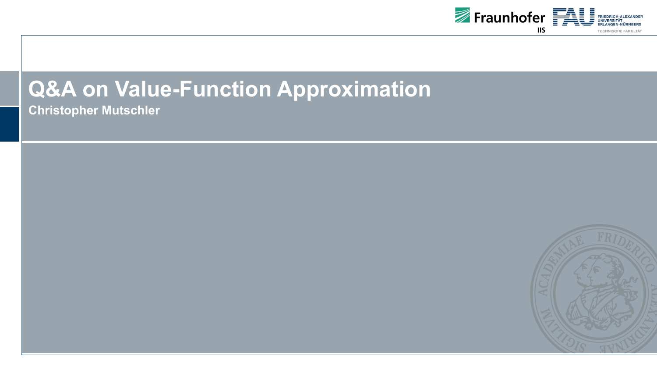

## **Q&A on Value-Function Approximation**

**Christopher Mutschler**

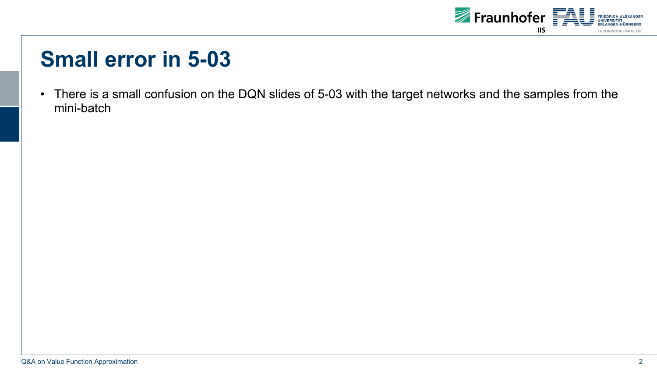

## **Small error in 5-03**

• There is a small confusion on the DQN slides of 5-03 with the target networks and the samples from the mini-batch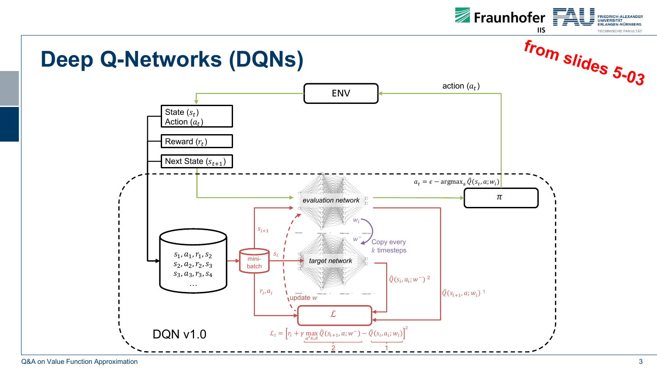

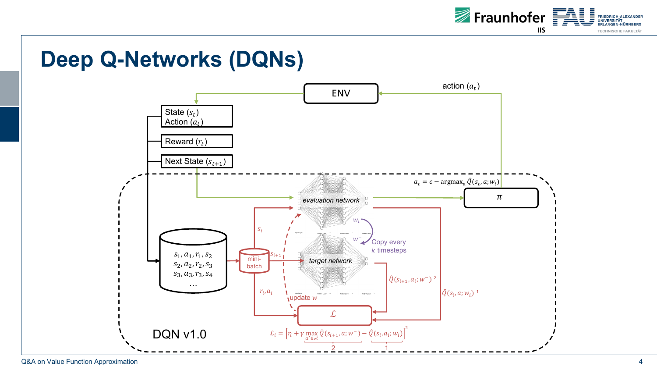

## **Deep Q-Networks (DQNs)**



Q&A on Value Function Approximation